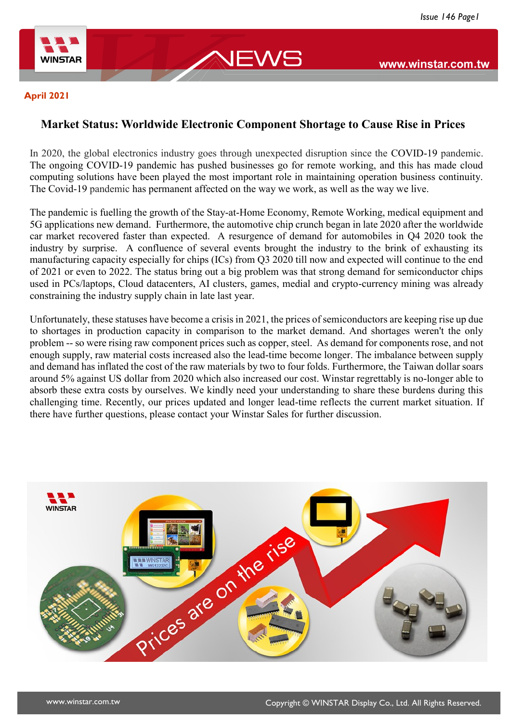

#### **April 2021**

### **Market Status: Worldwide Electronic Component Shortage to Cause Rise in Prices**

JEWS

In 2020, the global electronics industry goes through unexpected disruption since the COVID-19 pandemic. The ongoing COVID-19 pandemic has pushed businesses go for remote working, and this has made cloud computing solutions have been played the most important role in maintaining operation business continuity. The Covid-19 pandemic has permanent affected on the way we work, as well as the way we live.

The pandemic is fuelling the growth of the Stay-at-Home Economy, Remote Working, medical equipment and 5G applications new demand. Furthermore, the automotive chip crunch began in late 2020 after the worldwide car market recovered faster than expected. A resurgence of demand for automobiles in Q4 2020 took the industry by surprise. A confluence of several events brought the industry to the brink of exhausting its manufacturing capacity especially for chips (ICs) from Q3 2020 till now and expected will continue to the end of 2021 or even to 2022. The status bring out a big problem was that strong demand for semiconductor chips used in PCs/laptops, Cloud datacenters, AI clusters, games, medial and crypto-currency mining was already constraining the industry supply chain in late last year.

Unfortunately, these statuses have become a crisis in 2021, the prices of semiconductors are keeping rise up due to shortages in production capacity in comparison to the market demand. And shortages weren't the only problem -- so were rising raw component prices such as copper, steel. As demand for components rose, and not enough supply, raw material costs increased also the lead-time become longer. The imbalance between supply and demand has inflated the cost of the raw materials by two to four folds. Furthermore, the Taiwan dollar soars around 5% against US dollar from 2020 which also increased our cost. Winstar regrettably is no-longer able to absorb these extra costs by ourselves. We kindly need your understanding to share these burdens during this challenging time. Recently, our prices updated and longer lead-time reflects the current market situation. If there have further questions, please contact your Winstar Sales for further discussion.

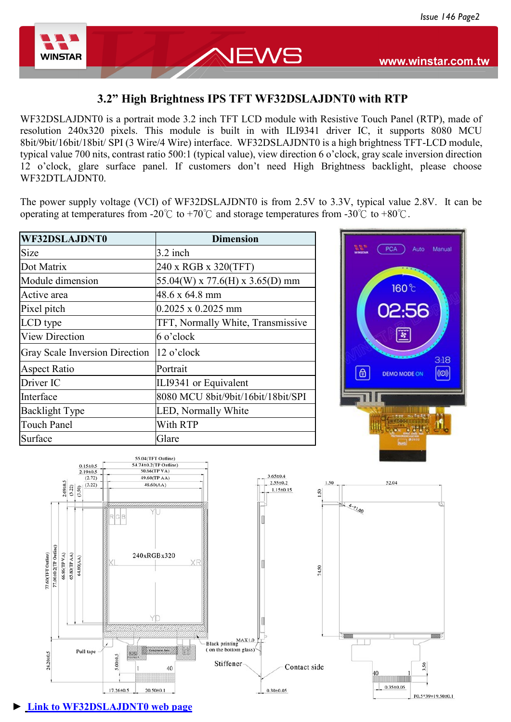

### **3.2" High Brightness IPS TFT WF32DSLAJDNT0 with RTP**

NEWS

WF32DSLAJDNT0 is a portrait mode 3.2 inch TFT LCD module with Resistive Touch Panel (RTP), made of resolution 240x320 pixels. This module is built in with ILI9341 driver IC, it supports 8080 MCU 8bit/9bit/16bit/18bit/ SPI (3 Wire/4 Wire) interface. WF32DSLAJDNT0 is a high brightness TFT-LCD module, typical value 700 nits, contrast ratio 500:1 (typical value), view direction 6 o'clock, gray scale inversion direction 12 o'clock, glare surface panel. If customers don't need High Brightness backlight, please choose WF32DTLAJDNT0.

The power supply voltage (VCI) of WF32DSLAJDNT0 is from 2.5V to 3.3V, typical value 2.8V. It can be operating at temperatures from -20°C to +70°C and storage temperatures from -30°C to +80°C.

| WF32DSLAJDNT0                  | <b>Dimension</b>                   |  |  |
|--------------------------------|------------------------------------|--|--|
| <b>Size</b>                    | 3.2 inch                           |  |  |
| Dot Matrix                     | 240 x RGB x 320(TFT)               |  |  |
| Module dimension               | 55.04(W) x 77.6(H) x 3.65(D) mm    |  |  |
| Active area                    | 48.6 x 64.8 mm                     |  |  |
| Pixel pitch                    | $0.2025 \times 0.2025$ mm          |  |  |
| LCD type                       | TFT, Normally White, Transmissive  |  |  |
| <b>View Direction</b>          | 6 o'clock                          |  |  |
| Gray Scale Inversion Direction | 12 o'clock                         |  |  |
| <b>Aspect Ratio</b>            | Portrait                           |  |  |
| Driver IC                      | ILI9341 or Equivalent              |  |  |
| Interface                      | 8080 MCU 8bit/9bit/16bit/18bit/SPI |  |  |
| <b>Backlight Type</b>          | LED, Normally White                |  |  |
| <b>Touch Panel</b>             | With RTP                           |  |  |
| Surface                        | Glare                              |  |  |



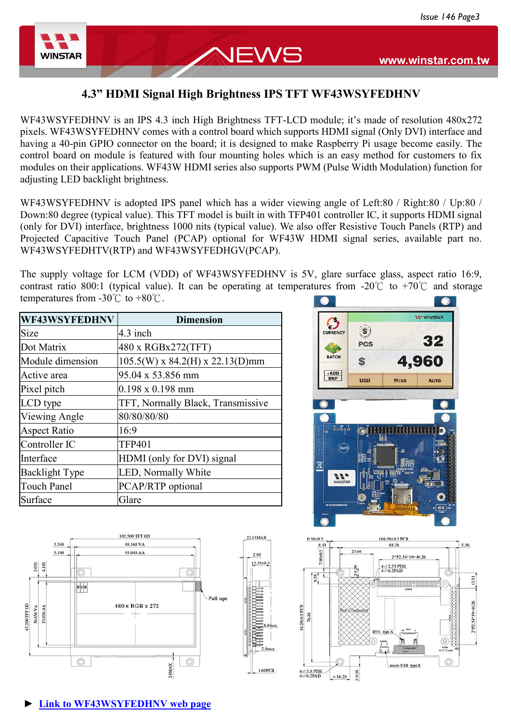

# **4.3" HDMI Signal High Brightness IPS TFT WF43WSYFEDHNV**

JEWS

WF43WSYFEDHNV is an IPS 4.3 inch High Brightness TFT-LCD module; it's made of resolution 480x272 pixels. WF43WSYFEDHNV comes with a control board which supports HDMI signal (Only DVI) interface and having a 40-pin GPIO connector on the board; it is designed to make Raspberry Pi usage become easily. The control board on module is featured with four mounting holes which is an easy method for customers to fix modules on their applications. WF43W HDMI series also supports PWM (Pulse Width Modulation) function for adjusting LED backlight brightness.

WF43WSYFEDHNV is adopted IPS panel which has a wider viewing angle of Left:80 / Right:80 / Up:80 / Down:80 degree (typical value). This TFT model is built in with TFP401 controller IC, it supports HDMI signal (only for DVI) interface, brightness 1000 nits (typical value). We also offer Resistive Touch Panels (RTP) and Projected Capacitive Touch Panel (PCAP) optional for WF43W HDMI signal series, available part no. WF43WSYFEDHTV(RTP) and WF43WSYFEDHGV(PCAP).

The supply voltage for LCM (VDD) of WF43WSYFEDHNV is 5V, glare surface glass, aspect ratio 16:9, contrast ratio 800:1 (typical value). It can be operating at temperatures from -20°C to +70°C and storage temperatures from  $-30^{\circ}$ C to  $+80^{\circ}$ C.

| WF43WSYFEDHNV         | <b>Dimension</b>                  |  |  |
|-----------------------|-----------------------------------|--|--|
| <b>Size</b>           | $4.3$ inch                        |  |  |
| Dot Matrix            | 480 x RGBx272(TFT)                |  |  |
| Module dimension      | $105.5(W)$ x 84.2(H) x 22.13(D)mm |  |  |
| Active area           | 95.04 x 53.856 mm                 |  |  |
| Pixel pitch           | $0.198 \times 0.198$ mm           |  |  |
| LCD type              | TFT, Normally Black, Transmissive |  |  |
| Viewing Angle         | 80/80/80/80                       |  |  |
| <b>Aspect Ratio</b>   | 16:9                              |  |  |
| Controller IC         | <b>TFP401</b>                     |  |  |
| Interface             | HDMI (only for DVI) signal        |  |  |
| <b>Backlight Type</b> | <b>LED, Normally White</b>        |  |  |
| <b>Touch Panel</b>    | PCAP/RTP optional                 |  |  |
| Surface               | Glare                             |  |  |